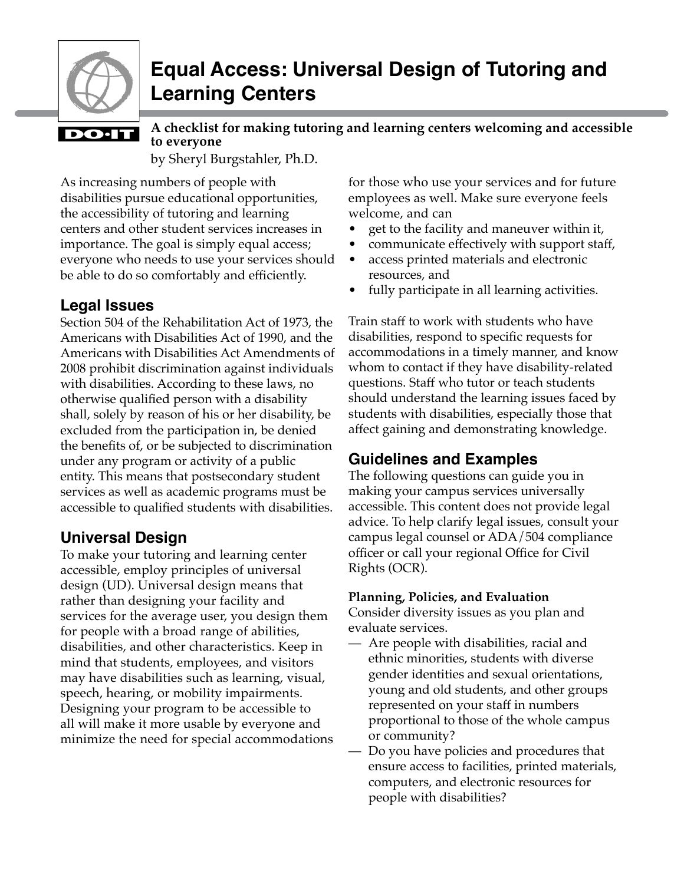

# **Equal Access: Universal Design of Tutoring and Learning Centers**

# **DO**·IT

by Sheryl Burgstahler, Ph.D. **A checklist for making tutoring and learning centers welcoming and accessible to everyone**

As increasing numbers of people with disabilities pursue educational opportunities, the accessibility of tutoring and learning centers and other student services increases in importance. The goal is simply equal access; everyone who needs to use your services should be able to do so comfortably and efficiently.

# **Legal Issues**

Section 504 of the Rehabilitation Act of 1973, the Americans with Disabilities Act of 1990, and the Americans with Disabilities Act Amendments of 2008 prohibit discrimination against individuals with disabilities. According to these laws, no otherwise qualified person with a disability shall, solely by reason of his or her disability, be excluded from the participation in, be denied the benefits of, or be subjected to discrimination under any program or activity of a public entity. This means that postsecondary student services as well as academic programs must be accessible to qualified students with disabilities.

# **Universal Design**

To make your tutoring and learning center accessible, employ principles of universal design (UD). Universal design means that rather than designing your facility and services for the average user, you design them for people with a broad range of abilities, disabilities, and other characteristics. Keep in mind that students, employees, and visitors may have disabilities such as learning, visual, speech, hearing, or mobility impairments. Designing your program to be accessible to all will make it more usable by everyone and minimize the need for special accommodations

for those who use your services and for future employees as well. Make sure everyone feels welcome, and can

- get to the facility and maneuver within it,
- communicate effectively with support staff,
- access printed materials and electronic resources, and
- fully participate in all learning activities.

Train staff to work with students who have disabilities, respond to specific requests for accommodations in a timely manner, and know whom to contact if they have disability-related questions. Staff who tutor or teach students should understand the learning issues faced by students with disabilities, especially those that affect gaining and demonstrating knowledge.

# **Guidelines and Examples**

The following questions can guide you in making your campus services universally accessible. This content does not provide legal advice. To help clarify legal issues, consult your campus legal counsel or ADA/504 compliance officer or call your regional Office for Civil Rights (OCR).

# **Planning, Policies, and Evaluation**

Consider diversity issues as you plan and evaluate services.

- Are people with disabilities, racial and ethnic minorities, students with diverse gender identities and sexual orientations, young and old students, and other groups represented on your staff in numbers proportional to those of the whole campus or community?
- Do you have policies and procedures that ensure access to facilities, printed materials, computers, and electronic resources for people with disabilities?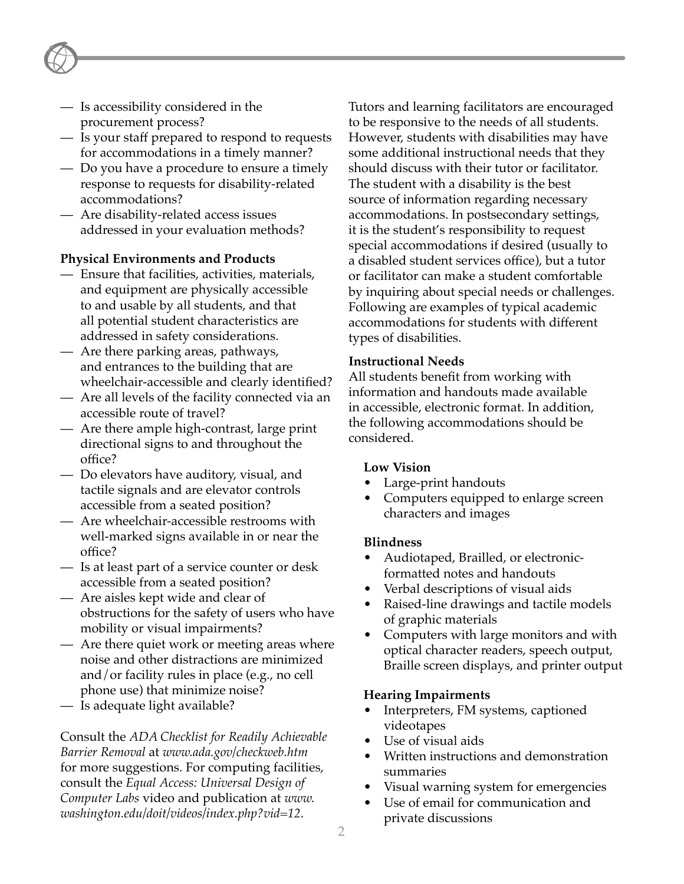- Is accessibility considered in the procurement process?
- Is your staff prepared to respond to requests for accommodations in a timely manner?
- Do you have a procedure to ensure a timely response to requests for disability-related accommodations?
- Are disability-related access issues addressed in your evaluation methods?

#### **Physical Environments and Products**

- Ensure that facilities, activities, materials, and equipment are physically accessible to and usable by all students, and that all potential student characteristics are addressed in safety considerations.
- Are there parking areas, pathways, and entrances to the building that are wheelchair-accessible and clearly identified?
- Are all levels of the facility connected via an accessible route of travel?
- Are there ample high-contrast, large print directional signs to and throughout the office?
- Do elevators have auditory, visual, and tactile signals and are elevator controls accessible from a seated position?
- Are wheelchair-accessible restrooms with well-marked signs available in or near the office?
- Is at least part of a service counter or desk accessible from a seated position?
- Are aisles kept wide and clear of obstructions for the safety of users who have mobility or visual impairments?
- Are there quiet work or meeting areas where noise and other distractions are minimized and/or facility rules in place (e.g., no cell phone use) that minimize noise?
- Is adequate light available?

Consult the *ADA Checklist for Readily Achievable Barrier Removal* at *[www.ada.gov/checkweb.htm](http://www.ada.gov/checkweb.htm)* for more suggestions. For computing facilities, consult the *Equal Access: Universal Design of Computer Labs* video and publication at *[www.](http://www.washington.edu/doit/videos/index.php?vid=12) [washington.edu/doit/videos/index.php?vid=12](http://www.washington.edu/doit/videos/index.php?vid=12)*.

Tutors and learning facilitators are encouraged to be responsive to the needs of all students. However, students with disabilities may have some additional instructional needs that they should discuss with their tutor or facilitator. The student with a disability is the best source of information regarding necessary accommodations. In postsecondary settings, it is the student's responsibility to request special accommodations if desired (usually to a disabled student services office), but a tutor or facilitator can make a student comfortable by inquiring about special needs or challenges. Following are examples of typical academic accommodations for students with different types of disabilities.

#### **Instructional Needs**

All students benefit from working with information and handouts made available in accessible, electronic format. In addition, the following accommodations should be considered.

#### **Low Vision**

- Large-print handouts
- Computers equipped to enlarge screen characters and images

#### **Blindness**

- Audiotaped, Brailled, or electronicformatted notes and handouts
- Verbal descriptions of visual aids
- Raised-line drawings and tactile models of graphic materials
- Computers with large monitors and with optical character readers, speech output, Braille screen displays, and printer output

#### **Hearing Impairments**

- Interpreters, FM systems, captioned videotapes
- Use of visual aids
- Written instructions and demonstration summaries
- Visual warning system for emergencies
- Use of email for communication and private discussions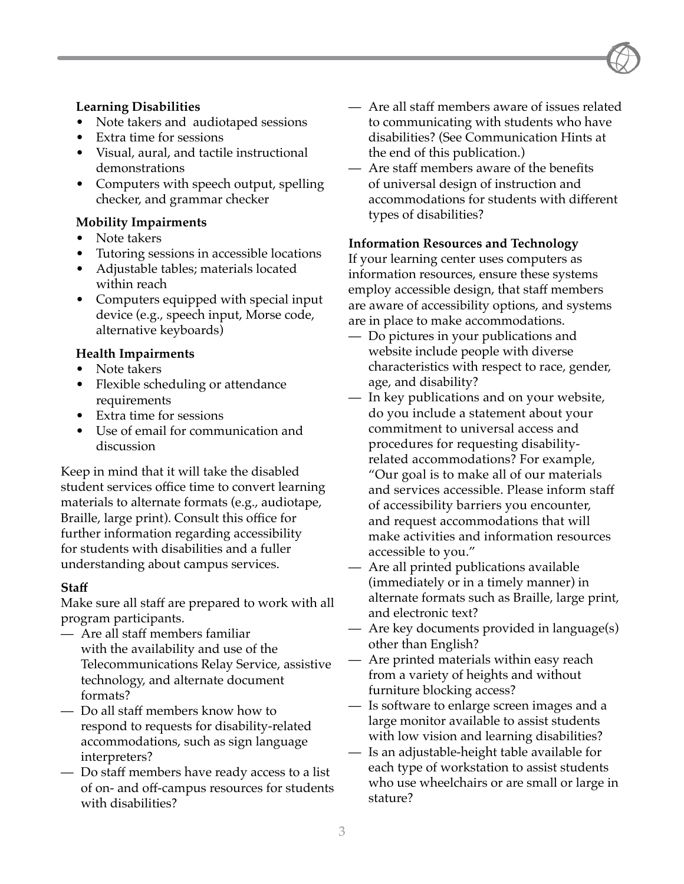#### **Learning Disabilities**

- Note takers and audiotaped sessions
- Extra time for sessions
- Visual, aural, and tactile instructional demonstrations
- Computers with speech output, spelling checker, and grammar checker

#### **Mobility Impairments**

- Note takers
- Tutoring sessions in accessible locations
- Adjustable tables; materials located within reach
- Computers equipped with special input device (e.g., speech input, Morse code, alternative keyboards)

#### **Health Impairments**

- Note takers
- Flexible scheduling or attendance requirements
- Extra time for sessions
- Use of email for communication and discussion

Keep in mind that it will take the disabled student services office time to convert learning materials to alternate formats (e.g., audiotape, Braille, large print). Consult this office for further information regarding accessibility for students with disabilities and a fuller understanding about campus services.

#### **Staff**

Make sure all staff are prepared to work with all program participants.

- Are all staff members familiar with the availability and use of the Telecommunications Relay Service, assistive technology, and alternate document formats?
- Do all staff members know how to respond to requests for disability-related accommodations, such as sign language interpreters?
- Do staff members have ready access to a list of on- and off-campus resources for students with disabilities?
- Are all staff members aware of issues related to communicating with students who have disabilities? (See Communication Hints at the end of this publication.)
- Are staff members aware of the benefits of universal design of instruction and accommodations for students with different types of disabilities?

#### **Information Resources and Technology**

If your learning center uses computers as information resources, ensure these systems employ accessible design, that staff members are aware of accessibility options, and systems are in place to make accommodations.

- Do pictures in your publications and website include people with diverse characteristics with respect to race, gender, age, and disability?
- In key publications and on your website, do you include a statement about your commitment to universal access and procedures for requesting disabilityrelated accommodations? For example, "Our goal is to make all of our materials and services accessible. Please inform staff of accessibility barriers you encounter, and request accommodations that will make activities and information resources accessible to you."
- Are all printed publications available (immediately or in a timely manner) in alternate formats such as Braille, large print, and electronic text?
- Are key documents provided in language(s) other than English?
- Are printed materials within easy reach from a variety of heights and without furniture blocking access?
- Is software to enlarge screen images and a large monitor available to assist students with low vision and learning disabilities?
- Is an adjustable-height table available for each type of workstation to assist students who use wheelchairs or are small or large in stature?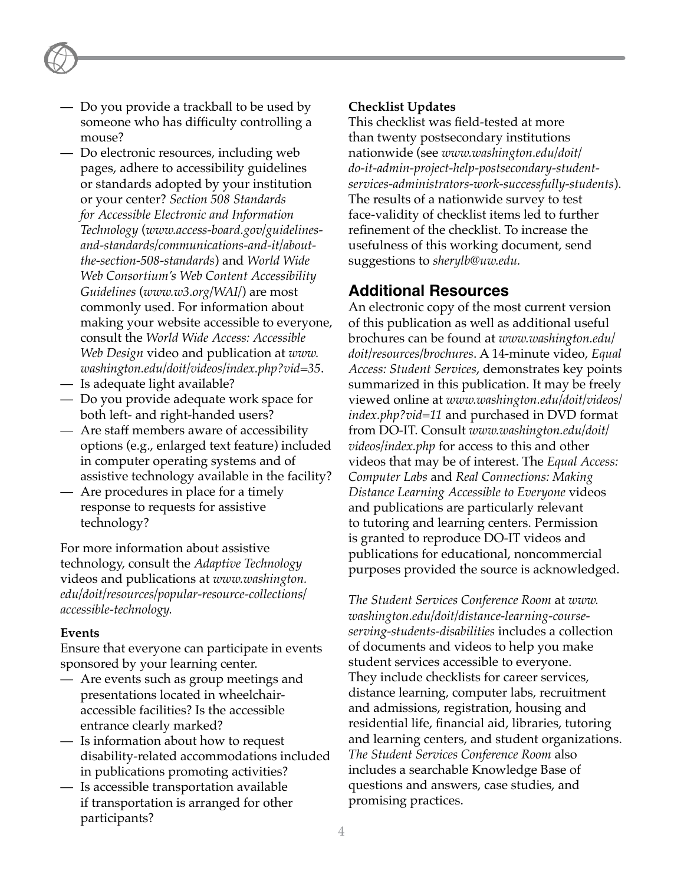- Do you provide a trackball to be used by someone who has difficulty controlling a mouse?
- Do electronic resources, including web pages, adhere to accessibility guidelines or standards adopted by your institution or your center? *Section 508 Standards for Accessible Electronic and Information Technology* (*[www.access-board.gov/guidelines](http://www.access-board.gov/guidelines-and-standards/communications-and-it/about-the-section-508-standards)[and-standards/communications-and-it/about](http://www.access-board.gov/guidelines-and-standards/communications-and-it/about-the-section-508-standards)[the-section-508-standards](http://www.access-board.gov/guidelines-and-standards/communications-and-it/about-the-section-508-standards)*) and *World Wide Web Consortium's Web Content Accessibility Guidelines* (*[www.w3.org/WAI/](http://www.w3.org/WAI/)*) are most commonly used. For information about making your website accessible to everyone, consult the *World Wide Access: Accessible Web Design* video and publication at *[www.](http://www.washington.edu/doit/videos/index.php?vid=35) [washington.edu/doit/videos/index.php?vid=35](http://www.washington.edu/doit/videos/index.php?vid=35)*.
- Is adequate light available?
- Do you provide adequate work space for both left- and right-handed users?
- Are staff members aware of accessibility options (e.g., enlarged text feature) included in computer operating systems and of assistive technology available in the facility?
- Are procedures in place for a timely response to requests for assistive technology?

For more information about assistive technology, consult the *Adaptive Technology* videos and publications at *[www.washington.](http://www.washington.edu/doit/resources/popular-resource-collections/accessible-technology) [edu/doit/resources/popular-resource-collections/](http://www.washington.edu/doit/resources/popular-resource-collections/accessible-technology) [accessible-technology.](http://www.washington.edu/doit/resources/popular-resource-collections/accessible-technology)*

#### **Events**

Ensure that everyone can participate in events sponsored by your learning center.

- Are events such as group meetings and presentations located in wheelchairaccessible facilities? Is the accessible entrance clearly marked?
- Is information about how to request disability-related accommodations included in publications promoting activities?
- Is accessible transportation available if transportation is arranged for other participants?

### **Checklist Updates**

This checklist was field-tested at more than twenty postsecondary institutions nationwide (see *[www.washington.edu/doit/](http://www.washington.edu/doit/do-it-admin-project-help-postsecondary-student-services-administrators-work-successfully-students) [do-it-admin-project-help-postsecondary-student](http://www.washington.edu/doit/do-it-admin-project-help-postsecondary-student-services-administrators-work-successfully-students)[services-administrators-work-successfully-students](http://www.washington.edu/doit/do-it-admin-project-help-postsecondary-student-services-administrators-work-successfully-students)*). The results of a nationwide survey to test face-validity of checklist items led to further refinement of the checklist. To increase the usefulness of this working document, send suggestions to *[sherylb@uw.edu](mailto:sherylb@uw.edu).*

# **Additional Resources**

An electronic copy of the most current version of this publication as well as additional useful brochures can be found at *[www.washington.edu/](http://www.washington.edu/doit/resources/brochures) [doit/resources/brochures](http://www.washington.edu/doit/resources/brochures)*. A 14-minute video, *Equal Access: Student Services*, demonstrates key points summarized in this publication. It may be freely viewed online at *[www.washington.edu/doit/videos/](http://www.washington.edu/doit/videos/index.php?vid=11) [index.php?vid=11](http://www.washington.edu/doit/videos/index.php?vid=11)* and purchased in DVD format from DO-IT. Consult *[www.washington.edu/doit/](http://www.washington.edu/doit/videos/index.php) [videos/index.php](http://www.washington.edu/doit/videos/index.php)* for access to this and other videos that may be of interest. The *Equal Access: Computer Labs* and *Real Connections: Making Distance Learning Accessible to Everyone* videos and publications are particularly relevant to tutoring and learning centers. Permission is granted to reproduce DO-IT videos and publications for educational, noncommercial purposes provided the source is acknowledged.

*The Student Services Conference Room* at *[www.](http://www.washington.edu/doit/distance-learning-course-serving-students-disabilities) [washington.edu/doit/distance-learning-course](http://www.washington.edu/doit/distance-learning-course-serving-students-disabilities)[serving-students-disabilities](http://www.washington.edu/doit/distance-learning-course-serving-students-disabilities)* includes a collection of documents and videos to help you make student services accessible to everyone. They include checklists for career services, distance learning, computer labs, recruitment and admissions, registration, housing and residential life, financial aid, libraries, tutoring and learning centers, and student organizations. *The Student Services Conference Room* also includes a searchable Knowledge Base of questions and answers, case studies, and promising practices.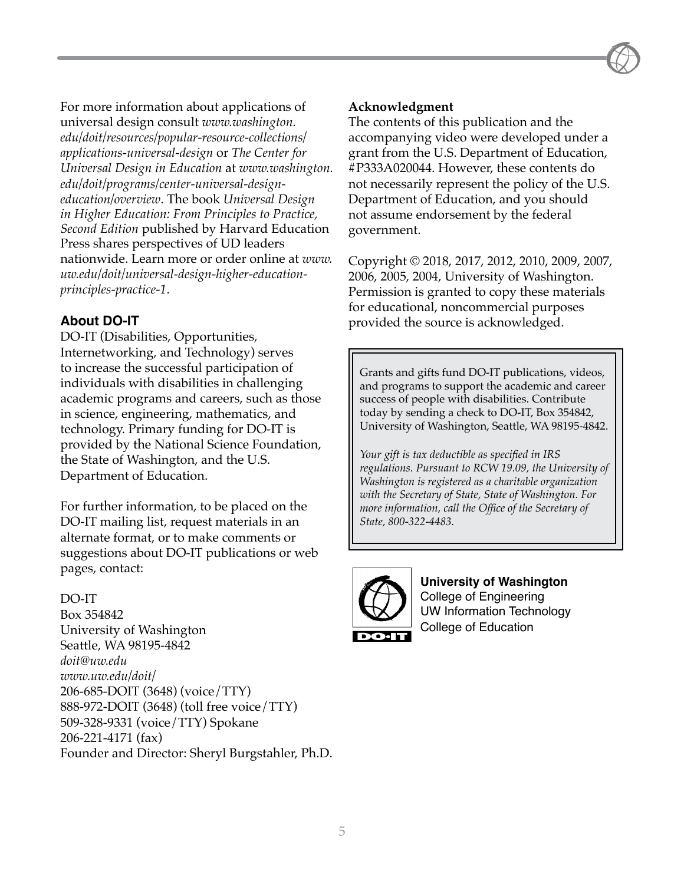For more information about applications of universal design consult *[www.washington.](http://www.washington.edu/doit/resources/popular-resource-collections/applications-universal-design) [edu/doit/resources/popular-resource-collections/](http://www.washington.edu/doit/resources/popular-resource-collections/applications-universal-design) [applications-universal-design](http://www.washington.edu/doit/resources/popular-resource-collections/applications-universal-design)* or *The Center for Universal Design in Education* at *[www.washington.](http://www.washington.edu/doit/programs/center-universal-design-education/overview) [edu/doit/programs/center-universal-design](http://www.washington.edu/doit/programs/center-universal-design-education/overview)[education/overview](http://www.washington.edu/doit/programs/center-universal-design-education/overview)*. The book *Universal Design in Higher Education: From Principles to Practice, Second Edition* published by Harvard Education Press shares perspectives of UD leaders nationwide. Learn more or order online at *[www.](http://www.uw.edu/doit/universal-design-higher-education-principles-practice-1) [uw.edu/doit/universal-design-higher-education](http://www.uw.edu/doit/universal-design-higher-education-principles-practice-1)[principles-practice-1](http://www.uw.edu/doit/universal-design-higher-education-principles-practice-1)*.

# **About DO-IT**

DO-IT (Disabilities, Opportunities, Internetworking, and Technology) serves to increase the successful participation of individuals with disabilities in challenging academic programs and careers, such as those in science, engineering, mathematics, and technology. Primary funding for DO-IT is provided by the National Science Foundation, the State of Washington, and the U.S. Department of Education.

For further information, to be placed on the DO-IT mailing list, request materials in an alternate format, or to make comments or suggestions about DO-IT publications or web pages, contact:

#### DO-IT

Box 354842 University of Washington Seattle, WA 98195-4842 *[doit@uw.edu](mailto:doit@uw.edu) [www.uw.edu/doit/](http://www.uw.edu/doit/)* 206-685-DOIT (3648) (voice/TTY) 888-972-DOIT (3648) (toll free voice/TTY) 509-328-9331 (voice/TTY) Spokane 206-221-4171 (fax) Founder and Director: Sheryl Burgstahler, Ph.D.

# **Acknowledgment**

The contents of this publication and the accompanying video were developed under a grant from the U.S. Department of Education, #P333A020044. However, these contents do not necessarily represent the policy of the U.S. Department of Education, and you should not assume endorsement by the federal government.

Copyright © 2018, 2017, 2012, 2010, 2009, 2007, 2006, 2005, 2004, University of Washington. Permission is granted to copy these materials for educational, noncommercial purposes provided the source is acknowledged.

Grants and gifts fund DO-IT publications, videos, and programs to support the academic and career success of people with disabilities. Contribute today by sending a check to DO-IT, Box 354842, University of Washington, Seattle, WA 98195-4842.

*Your gift is tax deductible as specified in IRS regulations. Pursuant to RCW 19.09, the University of Washington is registered as a charitable organization with the Secretary of State, State of Washington. For more information, call the Office of the Secretary of State, 800-322-4483.*



**University of Washington** College of Engineering UW Information Technology College of Education